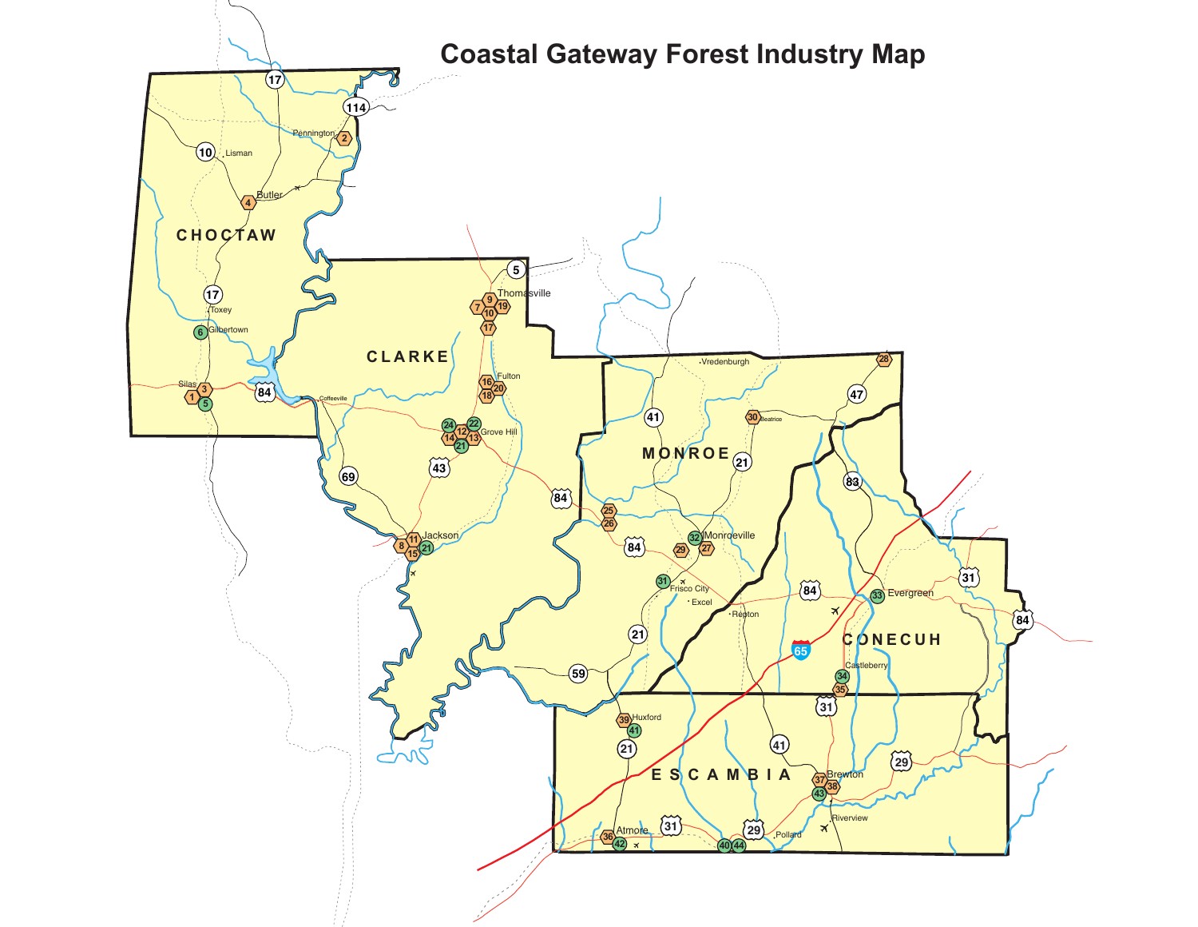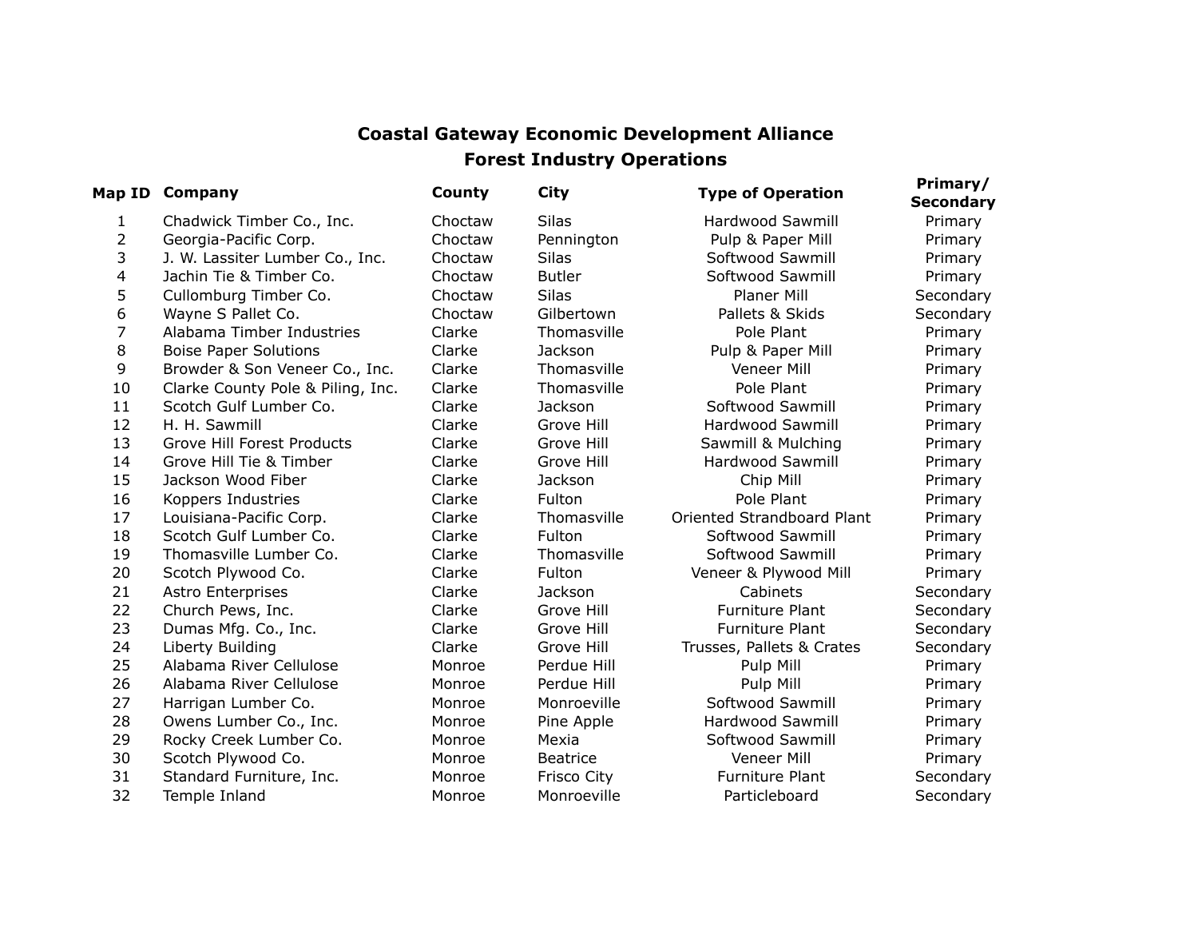## **Coastal Gateway Economic Development Alliance Forest Industry Operations**

## **Map ID Company County City Type of Operation Primary/ Secondary** 1 Chadwick Timber Co., Inc. Choctaw Silas Hardwood Sawmill Primary 2 Georgia-Pacific Corp. Choctaw Pennington Pulp & Paper Mill Primary 3 D. W. Lassiter Lumber Co., Inc.  $\qquad \qquad$  Choctaw Silas Softwood Sawmill Brimary 4 Dachin Tie & Timber Co. **Choctaw** Butler Suller Softwood Sawmill Primary 5 Cullomburg Timber Co. Choctaw Silas Planer Mill Secondary 6 Wayne S Pallet Co. Choctaw Gilbertown Pallets & Skids Secondary 7 Alabama Timber Industries Clarke Thomasville Pole Plant Primary 8 Boise Paper Solutions Clarke Jackson Pulp & Paper Mill Primary 9 Browder & Son Veneer Co., Inc. Clarke Thomasville Veneer Mill Primary 10 Clarke County Pole & Piling, Inc. Clarke Thomasville Pole Plant Primary 11 Scotch Gulf Lumber Co. **Clarke** Backson Softwood Sawmill Primary 12 H. H. Sawmill Clarke Grove Hill Hardwood Sawmill Primary 13 Grove Hill Forest Products Clarke Grove Hill Sawmill & Mulching Primary 14 Grove Hill Tie & Timber Clarke Grove Hill Brandwood Sawmill Primary 15 Jackson Wood Fiber Clarke Jackson Chip Mill Primary 16 Koppers Industries The Clarke Fulton Contains Pole Plant Primary 17 Louisiana-Pacific Corp. Clarke Thomasville Oriented Strandboard Plant Primary 18 Scotch Gulf Lumber Co. Clarke Fulton Softwood Sawmill Primary 19 Thomasville Lumber Co. Clarke Thomasville Softwood Sawmill Primary 20 Scotch Plywood Co. Clarke Fulton Veneer & Plywood Mill Primary 21 Astro Enterprises Clarke Jackson Cabinets Secondary 22 Church Pews, Inc. The Clarke Grove Hill Turniture Plant Secondary 23 Dumas Mfg. Co., Inc. Clarke Grove Hill Furniture Plant Secondary 24 Liberty Building Clarke Grove Hill Trusses, Pallets & Crates Secondary 25 Alabama River Cellulose Monroe Perdue Hill Pulp Mill Primary 26 Alabama River Cellulose **Monroe** Perdue Hill Pulp Mill Primary 27 Harrigan Lumber Co. Monroe Monroeville Softwood Sawmill Primary 28 Owens Lumber Co., Inc. Monroe Pine Apple Hardwood Sawmill Primary 29 Rocky Creek Lumber Co. The Monroe Mexia Controlled Softwood Sawmill Softwood Sawmill Primary 30 Scotch Plywood Co. Monroe Beatrice Veneer Mill Primary 31 Standard Furniture, Inc. Monroe Frisco City Furniture Plant Secondary 32 Temple Inland Monroe Monroeville Particleboard Secondary